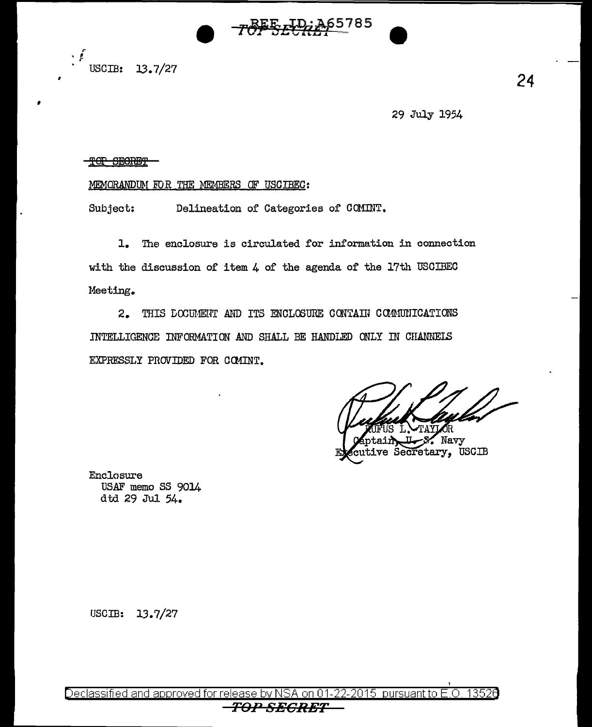

USCIB: 13.7/27

 $\cdot$   $\cdot$ 

29 July 1954

## <del>TOP SEGRET</del>

## MEMORANDUM FOR THE MEMBERS OF USCIBEC:

Delineation of Categories of COMINT. Subject:

1. The enclosure is circulated for information in connection with the discussion of item  $4$  of the agenda of the 17th USCIBEC Meeting.

2. THIS DOCUMENT AND ITS ENCLOSURE CONTAIN COMMUNICATIONS INTELLIGENCE INFORMATION AND SHALL BE HANDLED ONLY IN CHANNELS EXPRESSLY PROVIDED FOR COMINT.

 $\sim$  Navy ve Secretary, USCIB

Enclosure USAF memo SS 9014 dtd 29 Jul 54.

USCIB:  $13.7/27$ 

Declassified and approved for release by NSA on 01-22-2015 pursuant to E.O. 13526 TOP SECRET

## 24